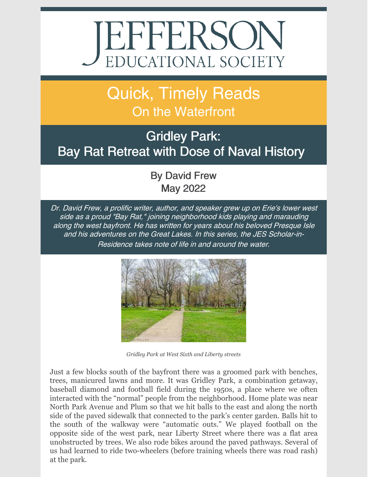# EFFERSON

## Quick, Timely Reads On the Waterfront

### Gridley Park: Bay Rat Retreat with Dose of Naval History

By David Frew May 2022

Dr. David Frew, <sup>a</sup> prolific writer, author, and speaker grew up on Erie's lower west side as <sup>a</sup> proud "Bay Rat," joining neighborhood kids playing and marauding along the west bayfront. He has written for years about his beloved Presque Isle and his adventures on the Great Lakes. In this series, the JES Scholar-in-Residence takes note of life in and around the water.



*Gridley Park at West Sixth and Liberty streets*

Just a few blocks south of the bayfront there was a groomed park with benches, trees, manicured lawns and more. It was Gridley Park, a combination getaway, baseball diamond and football field during the 1950s, a place where we often interacted with the "normal" people from the neighborhood. Home plate was near North Park Avenue and Plum so that we hit balls to the east and along the north side of the paved sidewalk that connected to the park's center garden. Balls hit to the south of the walkway were "automatic outs." We played football on the opposite side of the west park, near Liberty Street where there was a flat area unobstructed by trees. We also rode bikes around the paved pathways. Several of us had learned to ride two-wheelers (before training wheels there was road rash) at the park.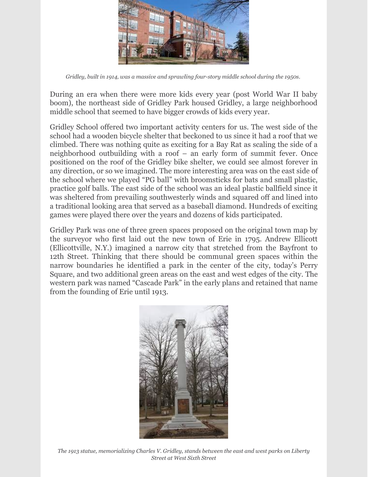

*Gridley, built in 1914, was a massive and sprawling four-story middle school during the 1950s.*

During an era when there were more kids every year (post World War II baby boom), the northeast side of Gridley Park housed Gridley, a large neighborhood middle school that seemed to have bigger crowds of kids every year.

Gridley School offered two important activity centers for us. The west side of the school had a wooden bicycle shelter that beckoned to us since it had a roof that we climbed. There was nothing quite as exciting for a Bay Rat as scaling the side of a neighborhood outbuilding with a roof – an early form of summit fever. Once positioned on the roof of the Gridley bike shelter, we could see almost forever in any direction, or so we imagined. The more interesting area was on the east side of the school where we played "PG ball" with broomsticks for bats and small plastic, practice golf balls. The east side of the school was an ideal plastic ballfield since it was sheltered from prevailing southwesterly winds and squared off and lined into a traditional looking area that served as a baseball diamond. Hundreds of exciting games were played there over the years and dozens of kids participated.

Gridley Park was one of three green spaces proposed on the original town map by the surveyor who first laid out the new town of Erie in 1795. Andrew Ellicott (Ellicottville, N.Y.) imagined a narrow city that stretched from the Bayfront to 12th Street. Thinking that there should be communal green spaces within the narrow boundaries he identified a park in the center of the city, today's Perry Square, and two additional green areas on the east and west edges of the city. The western park was named "Cascade Park" in the early plans and retained that name from the founding of Erie until 1913.



*The 1913 statue, memorializing Charles V. Gridley, stands between the east and west parks on Liberty Street at West Sixth Street*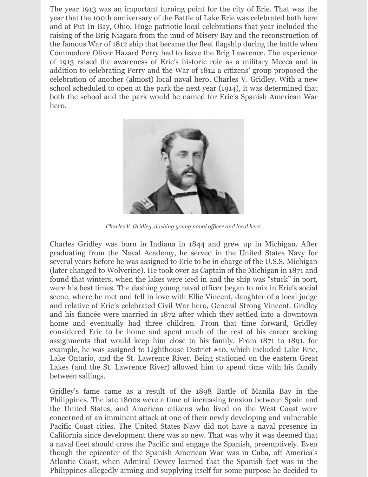The year 1913 was an important turning point for the city of Erie. That was the year that the 100th anniversary of the Battle of Lake Erie was celebrated both here and at Put-In-Bay, Ohio. Huge patriotic local celebrations that year included the raising of the Brig Niagara from the mud of Misery Bay and the reconstruction of the famous War of 1812 ship that became the fleet flagship during the battle when Commodore Oliver Hazard Perry had to leave the Brig Lawrence. The experience of 1913 raised the awareness of Erie's historic role as a military Mecca and in addition to celebrating Perry and the War of 1812 a citizens' group proposed the celebration of another (almost) local naval hero, Charles V. Gridley. With a new school scheduled to open at the park the next year (1914), it was determined that both the school and the park would be named for Erie's Spanish American War hero.



*Charles V. Gridley, dashing young naval of icer and local hero*

Charles Gridley was born in Indiana in 1844 and grew up in Michigan. After graduating from the Naval Academy, he served in the United States Navy for several years before he was assigned to Erie to be in charge of the U.S.S. Michigan (later changed to Wolverine). He took over as Captain of the Michigan in 1871 and found that winters, when the lakes were iced in and the ship was "stuck" in port, were his best times. The dashing young naval officer began to mix in Erie's social scene, where he met and fell in love with Ellie Vincent, daughter of a local judge and relative of Erie's celebrated Civil War hero, General Strong Vincent. Gridley and his fiancée were married in 1872 after which they settled into a downtown home and eventually had three children. From that time forward, Gridley considered Erie to be home and spent much of the rest of his career seeking assignments that would keep him close to his family. From 1871 to 1891, for example, he was assigned to Lighthouse District #10, which included Lake Erie, Lake Ontario, and the St. Lawrence River. Being stationed on the eastern Great Lakes (and the St. Lawrence River) allowed him to spend time with his family between sailings.

Gridley's fame came as a result of the 1898 Battle of Manila Bay in the Philippines. The late 1800s were a time of increasing tension between Spain and the United States, and American citizens who lived on the West Coast were concerned of an imminent attack at one of their newly developing and vulnerable Pacific Coast cities. The United States Navy did not have a naval presence in California since development there was so new. That was why it was deemed that a naval fleet should cross the Pacific and engage the Spanish, preemptively. Even though the epicenter of the Spanish American War was in Cuba, off America's Atlantic Coast, when Admiral Dewey learned that the Spanish feet was in the Philippines allegedly arming and supplying itself for some purpose he decided to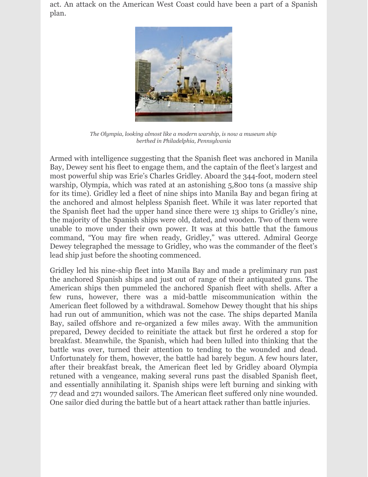act. An attack on the American West Coast could have been a part of a Spanish plan.



*The Olympia, looking almost like a modern warship, is now a museum ship berthed in Philadelphia, Pennsylvania*

Armed with intelligence suggesting that the Spanish fleet was anchored in Manila Bay, Dewey sent his fleet to engage them, and the captain of the fleet's largest and most powerful ship was Erie's Charles Gridley. Aboard the 344-foot, modern steel warship, Olympia, which was rated at an astonishing 5,800 tons (a massive ship for its time). Gridley led a fleet of nine ships into Manila Bay and began firing at the anchored and almost helpless Spanish fleet. While it was later reported that the Spanish fleet had the upper hand since there were 13 ships to Gridley's nine, the majority of the Spanish ships were old, dated, and wooden. Two of them were unable to move under their own power. It was at this battle that the famous command, "You may fire when ready, Gridley," was uttered. Admiral George Dewey telegraphed the message to Gridley, who was the commander of the fleet's lead ship just before the shooting commenced.

Gridley led his nine-ship fleet into Manila Bay and made a preliminary run past the anchored Spanish ships and just out of range of their antiquated guns. The American ships then pummeled the anchored Spanish fleet with shells. After a few runs, however, there was a mid-battle miscommunication within the American fleet followed by a withdrawal. Somehow Dewey thought that his ships had run out of ammunition, which was not the case. The ships departed Manila Bay, sailed offshore and re-organized a few miles away. With the ammunition prepared, Dewey decided to reinitiate the attack but first he ordered a stop for breakfast. Meanwhile, the Spanish, which had been lulled into thinking that the battle was over, turned their attention to tending to the wounded and dead. Unfortunately for them, however, the battle had barely begun. A few hours later, after their breakfast break, the American fleet led by Gridley aboard Olympia retuned with a vengeance, making several runs past the disabled Spanish fleet, and essentially annihilating it. Spanish ships were left burning and sinking with 77 dead and 271 wounded sailors. The American fleet suffered only nine wounded. One sailor died during the battle but of a heart attack rather than battle injuries.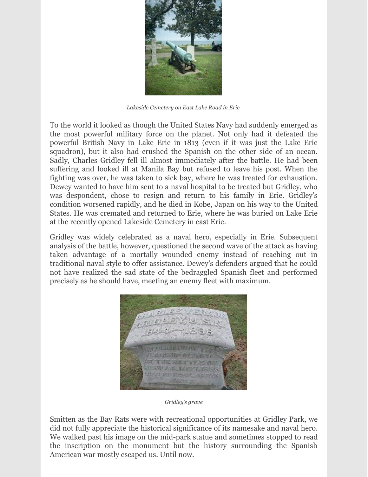

*Lakeside Cemetery on East Lake Road in Erie*

To the world it looked as though the United States Navy had suddenly emerged as the most powerful military force on the planet. Not only had it defeated the powerful British Navy in Lake Erie in 1813 (even if it was just the Lake Erie squadron), but it also had crushed the Spanish on the other side of an ocean. Sadly, Charles Gridley fell ill almost immediately after the battle. He had been suffering and looked ill at Manila Bay but refused to leave his post. When the fighting was over, he was taken to sick bay, where he was treated for exhaustion. Dewey wanted to have him sent to a naval hospital to be treated but Gridley, who was despondent, chose to resign and return to his family in Erie. Gridley's condition worsened rapidly, and he died in Kobe, Japan on his way to the United States. He was cremated and returned to Erie, where he was buried on Lake Erie at the recently opened Lakeside Cemetery in east Erie.

Gridley was widely celebrated as a naval hero, especially in Erie. Subsequent analysis of the battle, however, questioned the second wave of the attack as having taken advantage of a mortally wounded enemy instead of reaching out in traditional naval style to offer assistance. Dewey's defenders argued that he could not have realized the sad state of the bedraggled Spanish fleet and performed precisely as he should have, meeting an enemy fleet with maximum.



*Gridley's grave*

Smitten as the Bay Rats were with recreational opportunities at Gridley Park, we did not fully appreciate the historical significance of its namesake and naval hero. We walked past his image on the mid-park statue and sometimes stopped to read the inscription on the monument but the history surrounding the Spanish American war mostly escaped us. Until now.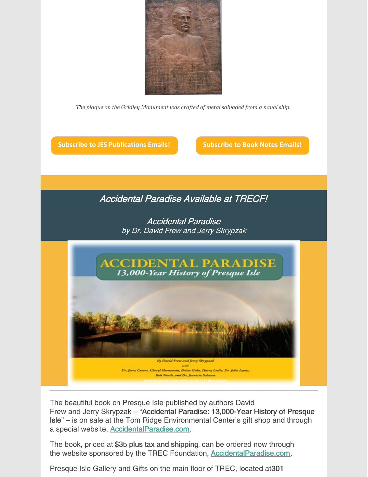

*The plaque on the Gridley Monument was crafted of metal salvaged from a naval ship.*

**Subscribe to JES [Publications](https://lp.constantcontactpages.com/su/OYSOPRt/PublicationsSubscription?source_id=28e9d8bb-c048-42a9-ba0b-2c84ddbb5495&source_type=em&c=) Emails! [Subscribe](https://lp.constantcontactpages.com/su/TXbaxH2/BookNotesSubscription?source_id=28e9d8bb-c048-42a9-ba0b-2c84ddbb5495&source_type=em&c=) to Book Notes Emails!**

#### Accidental Paradise Available at TRECF!

Accidental Paradise by Dr. David Frew and Jerry Skrypzak



The beautiful book on Presque Isle published by authors David Frew and Jerry Skrypzak – "Accidental Paradise: 13,000-Year History of Presque Isle" – is on sale at the Tom Ridge Environmental Center's gift shop and through a special website, [AccidentalParadise.com](http://r20.rs6.net/tn.jsp?f=001EIJ4bWInbAgZbfubFkRC6CJbiNPBnDNmlUevQbPeCp1CHyPy1PudVT_GBGMKCgQkI5_hxwzW8RAuM_JPgy-OW4cwbEtSpi2bXvIzjjPOzDvf5Za4YQ6DXvK7wLRR56asG7Ya4wMn-TbrCz2fsITPjg==&c=WAaU3N0-L4YGB3ynOn-kUkgM_yiuLjPWr84Za7eXf1C6hqLg9eYUwQ==&ch=CjD0a-KMcO9BAvzxTmthj-rGDyoqC43eKwiy7Xv9UvzdH29THLJyEw==).

The book, priced at \$35 plus tax and shipping, can be ordered now through the website sponsored by the TREC Foundation, **[AccidentalParadise.com](http://r20.rs6.net/tn.jsp?f=001EIJ4bWInbAgZbfubFkRC6CJbiNPBnDNmlUevQbPeCp1CHyPy1PudVSoSqIsYDhcA2SVqGDFbvwXgwDL8Czp1wjUocXtAllu6z186Q0Y8g_KhSkRdZX9w7zBMb3-ovne_jE0DF8YyX2sBzca0-7AbuWORKrz902cn9WpYIdN3_Ho=&c=WAaU3N0-L4YGB3ynOn-kUkgM_yiuLjPWr84Za7eXf1C6hqLg9eYUwQ==&ch=CjD0a-KMcO9BAvzxTmthj-rGDyoqC43eKwiy7Xv9UvzdH29THLJyEw==).** 

Presque Isle Gallery and Gifts on the main floor of TREC, located at301